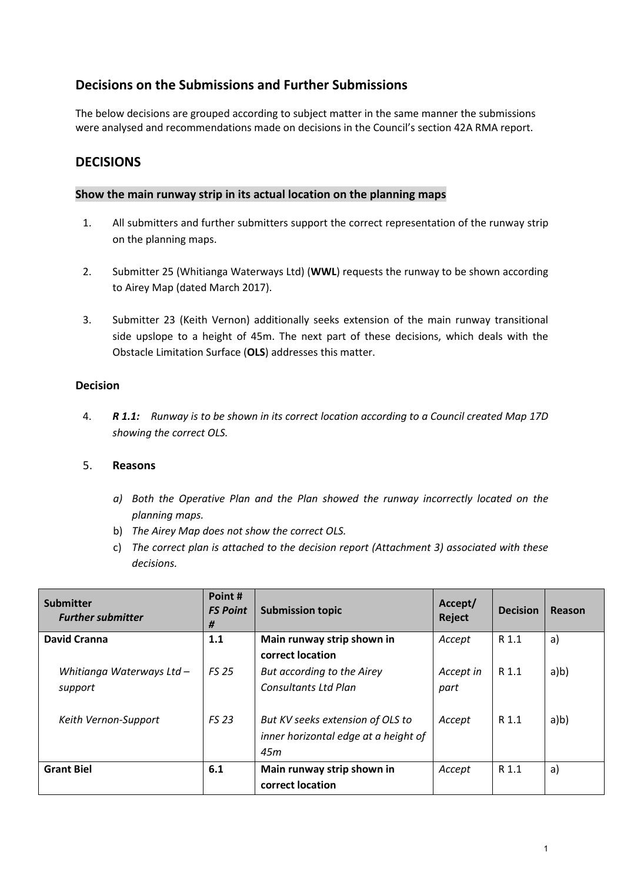# **Decisions on the Submissions and Further Submissions**

The below decisions are grouped according to subject matter in the same manner the submissions were analysed and recommendations made on decisions in the Council's section 42A RMA report.

## **DECISIONS**

#### **Show the main runway strip in its actual location on the planning maps**

- 1. All submitters and further submitters support the correct representation of the runway strip on the planning maps.
- 2. Submitter 25 (Whitianga Waterways Ltd) (**WWL**) requests the runway to be shown according to Airey Map (dated March 2017).
- 3. Submitter 23 (Keith Vernon) additionally seeks extension of the main runway transitional side upslope to a height of 45m. The next part of these decisions, which deals with the Obstacle Limitation Surface (**OLS**) addresses this matter.

#### **Decision**

4. *R 1.1: Runway is to be shown in its correct location according to a Council created Map 17D showing the correct OLS.* 

- *a) Both the Operative Plan and the Plan showed the runway incorrectly located on the planning maps.*
- b) *The Airey Map does not show the correct OLS.*
- c) *The correct plan is attached to the decision report (Attachment 3) associated with these decisions.*

| <b>Submitter</b><br><b>Further submitter</b> | Point#<br><b>FS Point</b><br># | <b>Submission topic</b>                                                         | Accept/<br>Reject | <b>Decision</b> | Reason |
|----------------------------------------------|--------------------------------|---------------------------------------------------------------------------------|-------------------|-----------------|--------|
| <b>David Cranna</b>                          | 1.1                            | Main runway strip shown in                                                      | Accept            | R 1.1           | a)     |
| Whitianga Waterways Ltd -<br>support         | <b>FS 25</b>                   | correct location<br>But according to the Airey<br><b>Consultants Ltd Plan</b>   | Accept in<br>part | R 1.1           | a/b)   |
| Keith Vernon-Support                         | <b>FS 23</b>                   | But KV seeks extension of OLS to<br>inner horizontal edge at a height of<br>45m | Accept            | R 1.1           | a/b)   |
| <b>Grant Biel</b>                            | 6.1                            | Main runway strip shown in<br>correct location                                  | Accept            | R 1.1           | a)     |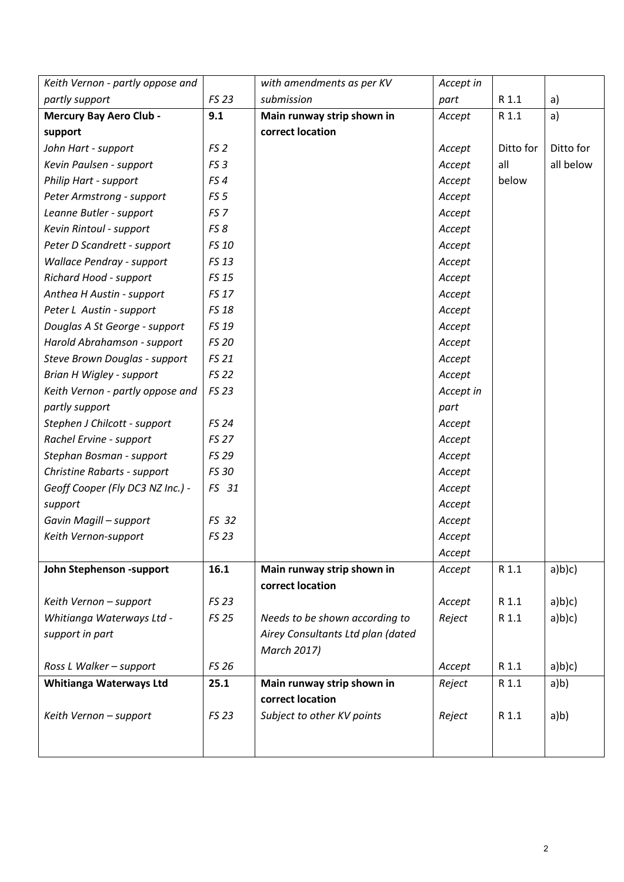| Keith Vernon - partly oppose and |                 | with amendments as per KV         | Accept in |           |           |
|----------------------------------|-----------------|-----------------------------------|-----------|-----------|-----------|
| partly support                   | FS 23           | submission                        | part      | R 1.1     | a)        |
| <b>Mercury Bay Aero Club -</b>   | 9.1             | Main runway strip shown in        | Accept    | R 1.1     | a)        |
| support                          |                 | correct location                  |           |           |           |
| John Hart - support              | FS <sub>2</sub> |                                   | Accept    | Ditto for | Ditto for |
| Kevin Paulsen - support          | FS <sub>3</sub> |                                   | Accept    | all       | all below |
| Philip Hart - support            | FS4             |                                   | Accept    | below     |           |
| Peter Armstrong - support        | FS <sub>5</sub> |                                   | Accept    |           |           |
| Leanne Butler - support          | FS <sub>7</sub> |                                   | Accept    |           |           |
| Kevin Rintoul - support          | FS8             |                                   | Accept    |           |           |
| Peter D Scandrett - support      | FS 10           |                                   | Accept    |           |           |
| <b>Wallace Pendray - support</b> | FS 13           |                                   | Accept    |           |           |
| Richard Hood - support           | <b>FS 15</b>    |                                   | Accept    |           |           |
| Anthea H Austin - support        | <b>FS 17</b>    |                                   | Accept    |           |           |
| Peter L Austin - support         | <b>FS 18</b>    |                                   | Accept    |           |           |
| Douglas A St George - support    | FS 19           |                                   | Accept    |           |           |
| Harold Abrahamson - support      | <b>FS 20</b>    |                                   | Accept    |           |           |
| Steve Brown Douglas - support    | <b>FS 21</b>    |                                   | Accept    |           |           |
| <b>Brian H Wigley - support</b>  | <b>FS 22</b>    |                                   | Accept    |           |           |
| Keith Vernon - partly oppose and | <b>FS 23</b>    |                                   | Accept in |           |           |
| partly support                   |                 |                                   | part      |           |           |
| Stephen J Chilcott - support     | <b>FS 24</b>    |                                   | Accept    |           |           |
| Rachel Ervine - support          | <b>FS 27</b>    |                                   | Accept    |           |           |
| Stephan Bosman - support         | FS 29           |                                   | Accept    |           |           |
| Christine Rabarts - support      | FS 30           |                                   | Accept    |           |           |
| Geoff Cooper (Fly DC3 NZ Inc.) - | FS 31           |                                   | Accept    |           |           |
| support                          |                 |                                   | Accept    |           |           |
| Gavin Magill - support           | FS 32           |                                   | Accept    |           |           |
| Keith Vernon-support             | <b>FS 23</b>    |                                   | Accept    |           |           |
|                                  |                 |                                   | Accept    |           |           |
| John Stephenson -support         | 16.1            | Main runway strip shown in        | Accept    | R 1.1     | a)b)c)    |
|                                  |                 | correct location                  |           |           |           |
| Keith Vernon - support           | <b>FS 23</b>    |                                   | Accept    | R 1.1     | a)b(c)    |
| Whitianga Waterways Ltd -        | <b>FS 25</b>    | Needs to be shown according to    | Reject    | R 1.1     | a)b)c)    |
| support in part                  |                 | Airey Consultants Ltd plan (dated |           |           |           |
|                                  |                 | March 2017)                       |           |           |           |
| Ross L Walker - support          | <b>FS 26</b>    |                                   | Accept    | R 1.1     | a)b)c)    |
| Whitianga Waterways Ltd          | 25.1            | Main runway strip shown in        | Reject    | R 1.1     | a)b)      |
|                                  |                 | correct location                  |           |           |           |
| Keith Vernon - support           | <b>FS 23</b>    | Subject to other KV points        | Reject    | R 1.1     | a/b)      |
|                                  |                 |                                   |           |           |           |
|                                  |                 |                                   |           |           |           |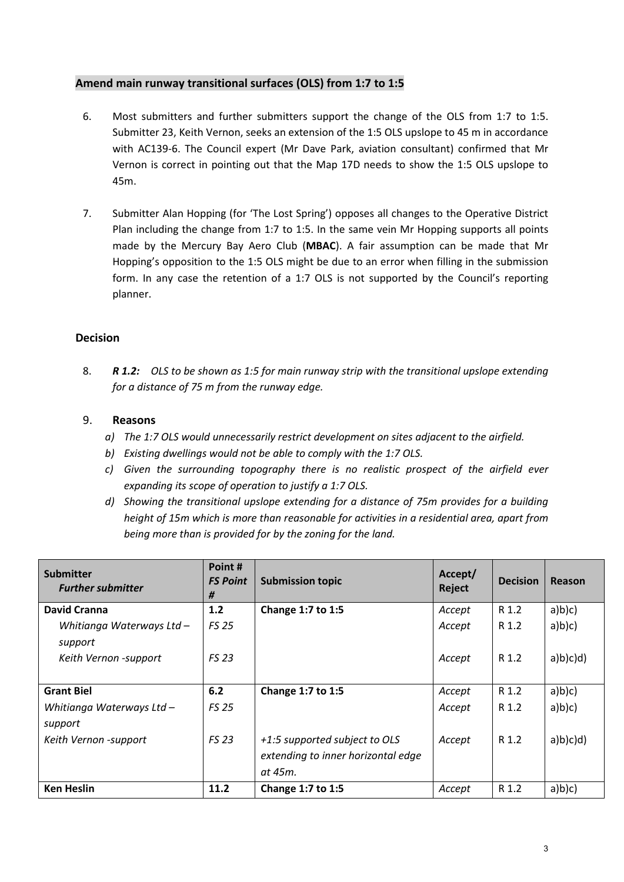#### **Amend main runway transitional surfaces (OLS) from 1:7 to 1:5**

- 6. Most submitters and further submitters support the change of the OLS from 1:7 to 1:5. Submitter 23, Keith Vernon, seeks an extension of the 1:5 OLS upslope to 45 m in accordance with AC139-6. The Council expert (Mr Dave Park, aviation consultant) confirmed that Mr Vernon is correct in pointing out that the Map 17D needs to show the 1:5 OLS upslope to 45m.
- 7. Submitter Alan Hopping (for 'The Lost Spring') opposes all changes to the Operative District Plan including the change from 1:7 to 1:5. In the same vein Mr Hopping supports all points made by the Mercury Bay Aero Club (**MBAC**). A fair assumption can be made that Mr Hopping's opposition to the 1:5 OLS might be due to an error when filling in the submission form. In any case the retention of a 1:7 OLS is not supported by the Council's reporting planner.

#### **Decision**

8. *R 1.2: OLS to be shown as 1:5 for main runway strip with the transitional upslope extending for a distance of 75 m from the runway edge.*

- *a) The 1:7 OLS would unnecessarily restrict development on sites adjacent to the airfield.*
- *b) Existing dwellings would not be able to comply with the 1:7 OLS.*
- *c) Given the surrounding topography there is no realistic prospect of the airfield ever expanding its scope of operation to justify a 1:7 OLS.*
- *d) Showing the transitional upslope extending for a distance of 75m provides for a building height of 15m which is more than reasonable for activities in a residential area, apart from being more than is provided for by the zoning for the land.*

| <b>Submitter</b><br><b>Further submitter</b> | Point#<br><b>FS Point</b><br># | <b>Submission topic</b>                                                        | Accept/<br><b>Reject</b> | <b>Decision</b> | Reason  |
|----------------------------------------------|--------------------------------|--------------------------------------------------------------------------------|--------------------------|-----------------|---------|
| <b>David Cranna</b>                          | 1.2                            | Change 1:7 to 1:5                                                              | Accept                   | R 1.2           | a)b)c)  |
| Whitianga Waterways Ltd -<br>support         | <b>FS 25</b>                   |                                                                                | Accept                   | R 1.2           | a)b)c)  |
| Keith Vernon -support                        | <b>FS 23</b>                   |                                                                                | Accept                   | R 1.2           | a)b(c)d |
| <b>Grant Biel</b>                            | 6.2                            | Change 1:7 to 1:5                                                              | Accept                   | R 1.2           | a)b)c)  |
| Whitianga Waterways Ltd -<br>support         | <b>FS 25</b>                   |                                                                                | Accept                   | R 1.2           | a)b)c)  |
| Keith Vernon -support                        | <b>FS 23</b>                   | +1:5 supported subject to OLS<br>extending to inner horizontal edge<br>at 45m. | Accept                   | R 1.2           | a)b(c)d |
| <b>Ken Heslin</b>                            | 11.2                           | Change 1:7 to 1:5                                                              | Accept                   | R 1.2           | a)b)c)  |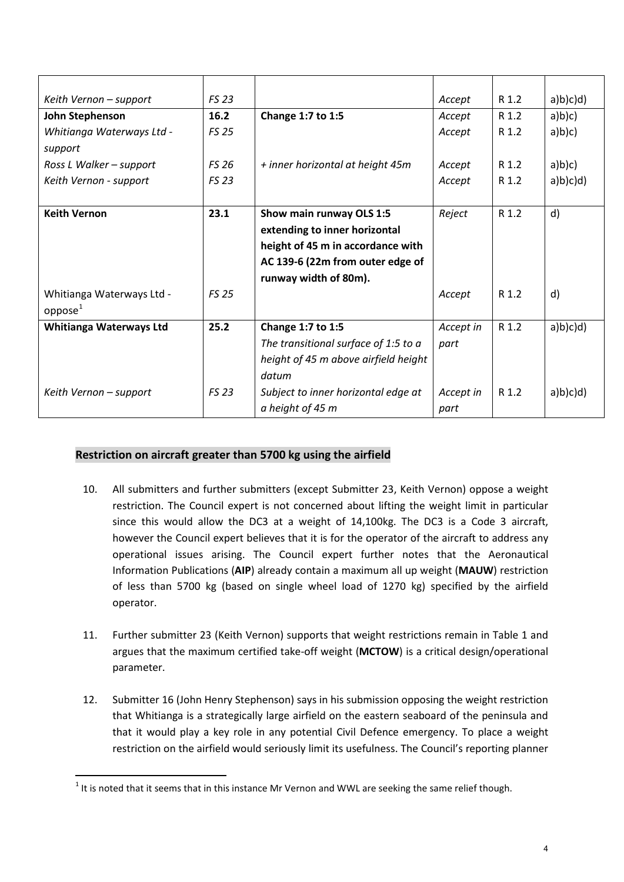| Keith Vernon - support         | <b>FS 23</b> |                                      | Accept    | R 1.2 | a)b(c)d      |
|--------------------------------|--------------|--------------------------------------|-----------|-------|--------------|
| John Stephenson                | 16.2         | Change 1:7 to 1:5                    | Accept    | R 1.2 | a)b(c)       |
| Whitianga Waterways Ltd -      | <b>FS 25</b> |                                      | Accept    | R 1.2 | a)b)c)       |
| support                        |              |                                      |           |       |              |
| Ross L Walker - support        | <b>FS 26</b> | + inner horizontal at height 45m     | Accept    | R 1.2 | a)b(c)       |
| Keith Vernon - support         | <b>FS 23</b> |                                      | Accept    | R 1.2 | a)b(c)d      |
|                                |              |                                      |           |       |              |
| <b>Keith Vernon</b>            | 23.1         | Show main runway OLS 1:5             | Reject    | R 1.2 | d)           |
|                                |              | extending to inner horizontal        |           |       |              |
|                                |              | height of 45 m in accordance with    |           |       |              |
|                                |              | AC 139-6 (22m from outer edge of     |           |       |              |
|                                |              | runway width of 80m).                |           |       |              |
| Whitianga Waterways Ltd -      | <b>FS 25</b> |                                      | Accept    | R 1.2 | $\mathsf{d}$ |
| oppose <sup>1</sup>            |              |                                      |           |       |              |
| <b>Whitianga Waterways Ltd</b> | 25.2         | Change 1:7 to 1:5                    | Accept in | R 1.2 | a)b(c)d      |
|                                |              | The transitional surface of 1:5 to a | part      |       |              |
|                                |              | height of 45 m above airfield height |           |       |              |
|                                |              | datum                                |           |       |              |
| Keith Vernon - support         | <b>FS 23</b> | Subject to inner horizontal edge at  | Accept in | R 1.2 | a)b(c)d      |
|                                |              | a height of 45 m                     | part      |       |              |

## **Restriction on aircraft greater than 5700 kg using the airfield**

- 10. All submitters and further submitters (except Submitter 23, Keith Vernon) oppose a weight restriction. The Council expert is not concerned about lifting the weight limit in particular since this would allow the DC3 at a weight of 14,100kg. The DC3 is a Code 3 aircraft, however the Council expert believes that it is for the operator of the aircraft to address any operational issues arising. The Council expert further notes that the Aeronautical Information Publications (**AIP**) already contain a maximum all up weight (**MAUW**) restriction of less than 5700 kg (based on single wheel load of 1270 kg) specified by the airfield operator.
- 11. Further submitter 23 (Keith Vernon) supports that weight restrictions remain in Table 1 and argues that the maximum certified take-off weight (**MCTOW**) is a critical design/operational parameter.
- 12. Submitter 16 (John Henry Stephenson) says in his submission opposing the weight restriction that Whitianga is a strategically large airfield on the eastern seaboard of the peninsula and that it would play a key role in any potential Civil Defence emergency. To place a weight restriction on the airfield would seriously limit its usefulness. The Council's reporting planner

**.** 

<span id="page-3-0"></span> $1$  It is noted that it seems that in this instance Mr Vernon and WWL are seeking the same relief though.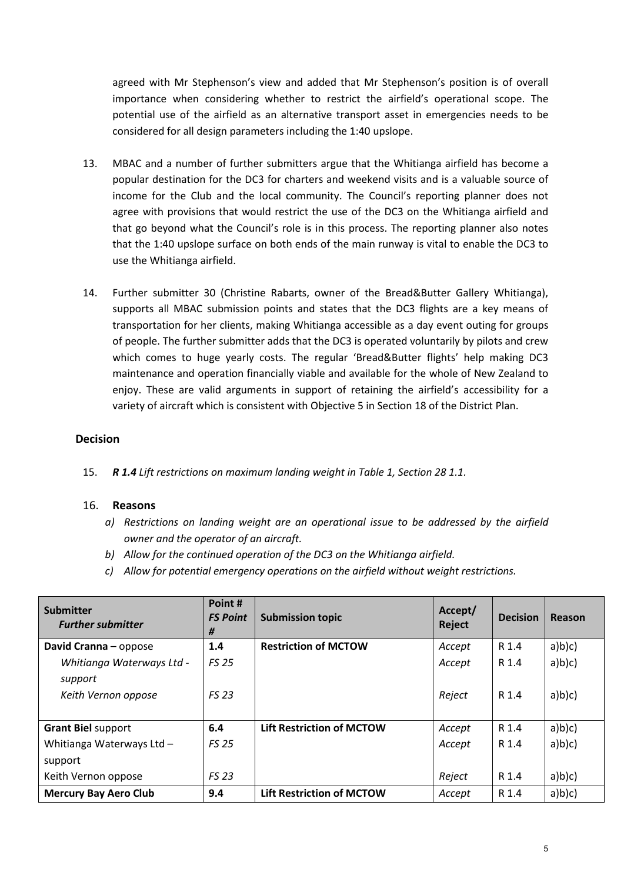agreed with Mr Stephenson's view and added that Mr Stephenson's position is of overall importance when considering whether to restrict the airfield's operational scope. The potential use of the airfield as an alternative transport asset in emergencies needs to be considered for all design parameters including the 1:40 upslope.

- 13. MBAC and a number of further submitters argue that the Whitianga airfield has become a popular destination for the DC3 for charters and weekend visits and is a valuable source of income for the Club and the local community. The Council's reporting planner does not agree with provisions that would restrict the use of the DC3 on the Whitianga airfield and that go beyond what the Council's role is in this process. The reporting planner also notes that the 1:40 upslope surface on both ends of the main runway is vital to enable the DC3 to use the Whitianga airfield.
- 14. Further submitter 30 (Christine Rabarts, owner of the Bread&Butter Gallery Whitianga), supports all MBAC submission points and states that the DC3 flights are a key means of transportation for her clients, making Whitianga accessible as a day event outing for groups of people. The further submitter adds that the DC3 is operated voluntarily by pilots and crew which comes to huge yearly costs. The regular 'Bread&Butter flights' help making DC3 maintenance and operation financially viable and available for the whole of New Zealand to enjoy. These are valid arguments in support of retaining the airfield's accessibility for a variety of aircraft which is consistent with Objective 5 in Section 18 of the District Plan.

#### **Decision**

15. *R 1.4 Lift restrictions on maximum landing weight in Table 1, Section 28 1.1.*

- *a) Restrictions on landing weight are an operational issue to be addressed by the airfield owner and the operator of an aircraft.*
- *b) Allow for the continued operation of the DC3 on the Whitianga airfield.*
- *c) Allow for potential emergency operations on the airfield without weight restrictions.*

| <b>Submitter</b><br><b>Further submitter</b> | Point#<br><b>FS Point</b><br># | <b>Submission topic</b>          | Accept/<br>Reject | <b>Decision</b> | Reason |
|----------------------------------------------|--------------------------------|----------------------------------|-------------------|-----------------|--------|
| David Cranna - oppose                        | 1.4                            | <b>Restriction of MCTOW</b>      | Accept            | R 1.4           | a)b)c) |
| Whitianga Waterways Ltd -<br>support         | <b>FS 25</b>                   |                                  | Accept            | R 1.4           | a)b)c) |
| Keith Vernon oppose                          | <b>FS 23</b>                   |                                  | Reject            | R 1.4           | a)b(c) |
| <b>Grant Biel support</b>                    | 6.4                            | <b>Lift Restriction of MCTOW</b> | Accept            | R 1.4           | a)b)c) |
| Whitianga Waterways Ltd -<br>support         | <b>FS 25</b>                   |                                  | Accept            | R 1.4           | a)b(c) |
| Keith Vernon oppose                          | <b>FS 23</b>                   |                                  | Reject            | R 1.4           | a)b)c) |
| <b>Mercury Bay Aero Club</b>                 | 9.4                            | <b>Lift Restriction of MCTOW</b> | Accept            | R 1.4           | a)b)c) |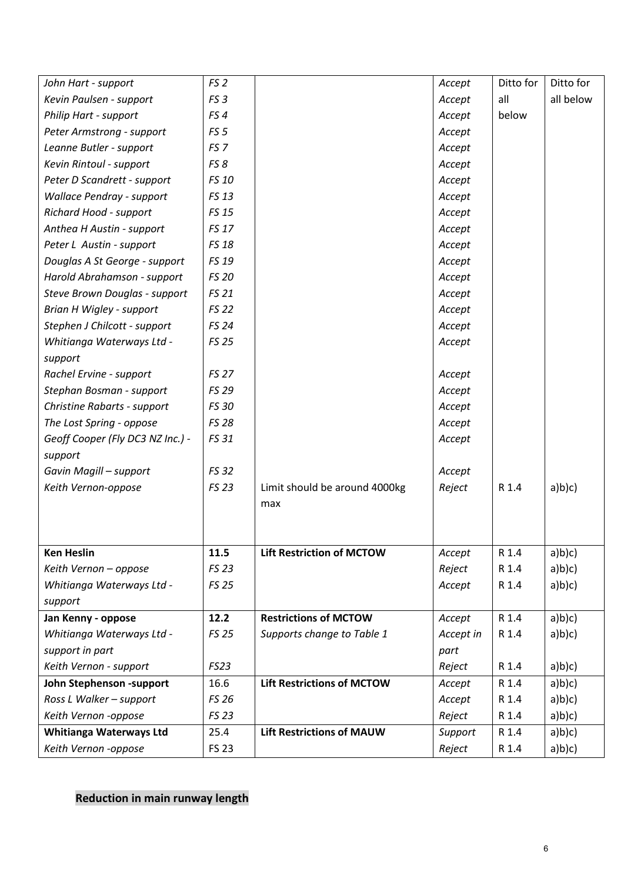| John Hart - support                | FS <sub>2</sub> |                                   | Accept    | Ditto for | Ditto for |
|------------------------------------|-----------------|-----------------------------------|-----------|-----------|-----------|
| Kevin Paulsen - support            | FS <sub>3</sub> |                                   | Accept    | all       | all below |
| Philip Hart - support              | FS4             |                                   | Accept    | below     |           |
| Peter Armstrong - support          | FS <sub>5</sub> |                                   | Accept    |           |           |
| Leanne Butler - support            | FS <sub>7</sub> |                                   | Accept    |           |           |
| Kevin Rintoul - support            | FS 8            |                                   | Accept    |           |           |
| Peter D Scandrett - support        | FS 10           |                                   | Accept    |           |           |
| <b>Wallace Pendray - support</b>   | FS 13           |                                   | Accept    |           |           |
| Richard Hood - support             | <b>FS 15</b>    |                                   | Accept    |           |           |
| Anthea H Austin - support          | FS 17           |                                   | Accept    |           |           |
| Peter L Austin - support           | <b>FS 18</b>    |                                   | Accept    |           |           |
| Douglas A St George - support      | FS 19           |                                   | Accept    |           |           |
| Harold Abrahamson - support        | <b>FS 20</b>    |                                   | Accept    |           |           |
| Steve Brown Douglas - support      | <b>FS 21</b>    |                                   | Accept    |           |           |
| Brian H Wigley - support           | <b>FS 22</b>    |                                   | Accept    |           |           |
| Stephen J Chilcott - support       | <b>FS 24</b>    |                                   | Accept    |           |           |
| Whitianga Waterways Ltd -          | <b>FS 25</b>    |                                   | Accept    |           |           |
| support                            |                 |                                   |           |           |           |
| Rachel Ervine - support            | <b>FS 27</b>    |                                   | Accept    |           |           |
| Stephan Bosman - support           | FS 29           |                                   | Accept    |           |           |
| <b>Christine Rabarts - support</b> | <b>FS 30</b>    |                                   | Accept    |           |           |
| The Lost Spring - oppose           | <b>FS 28</b>    |                                   | Accept    |           |           |
| Geoff Cooper (Fly DC3 NZ Inc.) -   | FS 31           |                                   | Accept    |           |           |
| support                            |                 |                                   |           |           |           |
| Gavin Magill - support             | <b>FS 32</b>    |                                   | Accept    |           |           |
| Keith Vernon-oppose                | FS 23           | Limit should be around 4000kg     | Reject    | R 1.4     | a)b(c)    |
|                                    |                 | max                               |           |           |           |
|                                    |                 |                                   |           |           |           |
|                                    |                 |                                   |           |           |           |
| <b>Ken Heslin</b>                  | 11.5            | <b>Lift Restriction of MCTOW</b>  | Accept    | R 1.4     | a)b(c)    |
| Keith Vernon - oppose              | <b>FS 23</b>    |                                   | Reject    | R 1.4     | a)b)c)    |
| Whitianga Waterways Ltd -          | <b>FS 25</b>    |                                   | Accept    | R 1.4     | a)b(c)    |
| support                            |                 |                                   |           |           |           |
| Jan Kenny - oppose                 | 12.2            | <b>Restrictions of MCTOW</b>      | Accept    | R 1.4     | a)b)c)    |
| Whitianga Waterways Ltd -          | <b>FS 25</b>    | Supports change to Table 1        | Accept in | R 1.4     | a)b(c)    |
| support in part                    |                 |                                   | part      |           |           |
| Keith Vernon - support             | FS23            |                                   | Reject    | R 1.4     | a)b)c)    |
| John Stephenson -support           | 16.6            | <b>Lift Restrictions of MCTOW</b> | Accept    | R 1.4     | a)b)c)    |
| Ross L Walker - support            | <b>FS 26</b>    |                                   | Accept    | R 1.4     | a)b(c)    |
| Keith Vernon -oppose               | FS 23           |                                   | Reject    | R 1.4     | a)b(c)    |
| Whitianga Waterways Ltd            | 25.4            | <b>Lift Restrictions of MAUW</b>  | Support   | R 1.4     | a)b)c)    |
| Keith Vernon -oppose               | <b>FS 23</b>    |                                   | Reject    | R 1.4     | a)b(c)    |

# **Reduction in main runway length**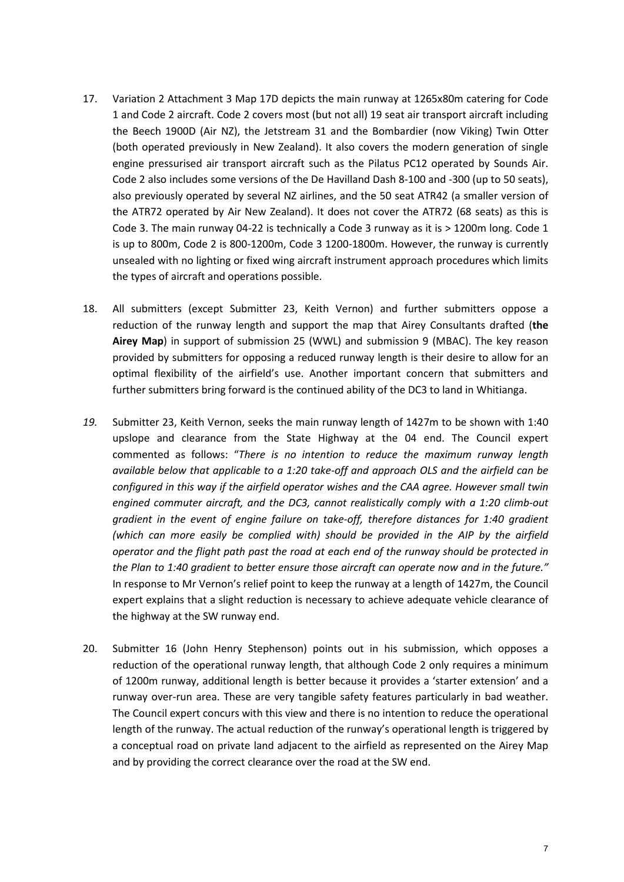- 17. Variation 2 Attachment 3 Map 17D depicts the main runway at 1265x80m catering for Code 1 and Code 2 aircraft. Code 2 covers most (but not all) 19 seat air transport aircraft including the Beech 1900D (Air NZ), the Jetstream 31 and the Bombardier (now Viking) Twin Otter (both operated previously in New Zealand). It also covers the modern generation of single engine pressurised air transport aircraft such as the Pilatus PC12 operated by Sounds Air. Code 2 also includes some versions of the De Havilland Dash 8-100 and -300 (up to 50 seats), also previously operated by several NZ airlines, and the 50 seat ATR42 (a smaller version of the ATR72 operated by Air New Zealand). It does not cover the ATR72 (68 seats) as this is Code 3. The main runway 04-22 is technically a Code 3 runway as it is > 1200m long. Code 1 is up to 800m, Code 2 is 800-1200m, Code 3 1200-1800m. However, the runway is currently unsealed with no lighting or fixed wing aircraft instrument approach procedures which limits the types of aircraft and operations possible.
- 18. All submitters (except Submitter 23, Keith Vernon) and further submitters oppose a reduction of the runway length and support the map that Airey Consultants drafted (**the Airey Map**) in support of submission 25 (WWL) and submission 9 (MBAC). The key reason provided by submitters for opposing a reduced runway length is their desire to allow for an optimal flexibility of the airfield's use. Another important concern that submitters and further submitters bring forward is the continued ability of the DC3 to land in Whitianga.
- *19.* Submitter 23, Keith Vernon, seeks the main runway length of 1427m to be shown with 1:40 upslope and clearance from the State Highway at the 04 end. The Council expert commented as follows: "*There is no intention to reduce the maximum runway length available below that applicable to a 1:20 take-off and approach OLS and the airfield can be configured in this way if the airfield operator wishes and the CAA agree. However small twin engined commuter aircraft, and the DC3, cannot realistically comply with a 1:20 climb-out gradient in the event of engine failure on take-off, therefore distances for 1:40 gradient (which can more easily be complied with) should be provided in the AIP by the airfield operator and the flight path past the road at each end of the runway should be protected in the Plan to 1:40 gradient to better ensure those aircraft can operate now and in the future."*  In response to Mr Vernon's relief point to keep the runway at a length of 1427m, the Council expert explains that a slight reduction is necessary to achieve adequate vehicle clearance of the highway at the SW runway end.
- 20. Submitter 16 (John Henry Stephenson) points out in his submission, which opposes a reduction of the operational runway length, that although Code 2 only requires a minimum of 1200m runway, additional length is better because it provides a 'starter extension' and a runway over-run area. These are very tangible safety features particularly in bad weather. The Council expert concurs with this view and there is no intention to reduce the operational length of the runway. The actual reduction of the runway's operational length is triggered by a conceptual road on private land adjacent to the airfield as represented on the Airey Map and by providing the correct clearance over the road at the SW end.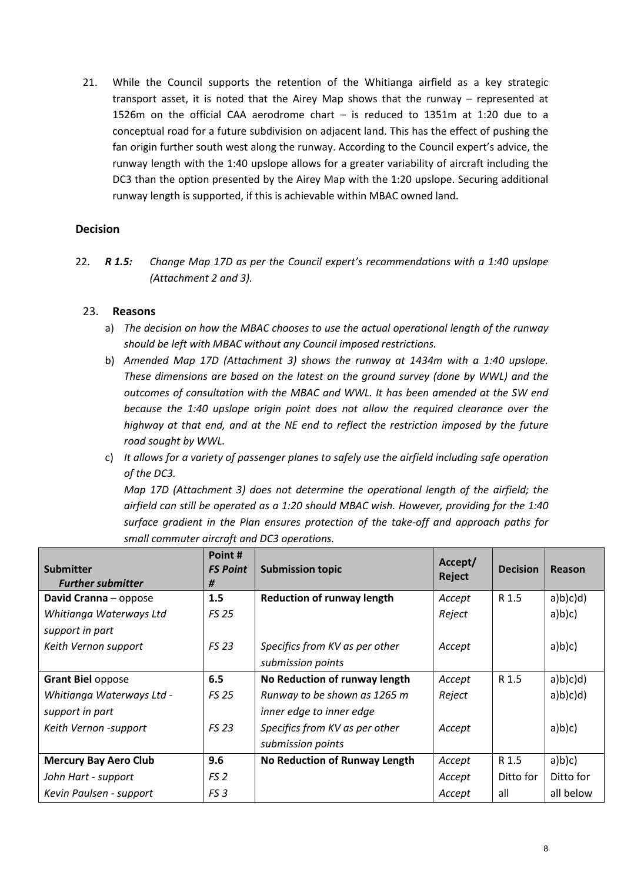21. While the Council supports the retention of the Whitianga airfield as a key strategic transport asset, it is noted that the Airey Map shows that the runway – represented at 1526m on the official CAA aerodrome chart – is reduced to 1351m at 1:20 due to a conceptual road for a future subdivision on adjacent land. This has the effect of pushing the fan origin further south west along the runway. According to the Council expert's advice, the runway length with the 1:40 upslope allows for a greater variability of aircraft including the DC3 than the option presented by the Airey Map with the 1:20 upslope. Securing additional runway length is supported, if this is achievable within MBAC owned land.

#### **Decision**

22. *R 1.5: Change Map 17D as per the Council expert's recommendations with a 1:40 upslope (Attachment 2 and 3).* 

#### 23. **Reasons**

- a) *The decision on how the MBAC chooses to use the actual operational length of the runway should be left with MBAC without any Council imposed restrictions.*
- b) *Amended Map 17D (Attachment 3) shows the runway at 1434m with a 1:40 upslope. These dimensions are based on the latest on the ground survey (done by WWL) and the outcomes of consultation with the MBAC and WWL. It has been amended at the SW end because the 1:40 upslope origin point does not allow the required clearance over the highway at that end, and at the NE end to reflect the restriction imposed by the future road sought by WWL.*
- c) *It allows for a variety of passenger planes to safely use the airfield including safe operation of the DC3.*

*Map 17D (Attachment 3) does not determine the operational length of the airfield; the airfield can still be operated as a 1:20 should MBAC wish. However, providing for the 1:40 surface gradient in the Plan ensures protection of the take-off and approach paths for small commuter aircraft and DC3 operations.* 

| <b>Submitter</b><br><b>Further submitter</b> | Point #<br><b>FS Point</b><br># | <b>Submission topic</b>           | Accept/<br>Reject | <b>Decision</b> | Reason    |
|----------------------------------------------|---------------------------------|-----------------------------------|-------------------|-----------------|-----------|
| David Cranna - oppose                        | 1.5                             | <b>Reduction of runway length</b> | Accept            | R 1.5           | a)b(c)d   |
| Whitianga Waterways Ltd                      | <b>FS 25</b>                    |                                   | Reject            |                 | a)b)c)    |
| support in part                              |                                 |                                   |                   |                 |           |
| Keith Vernon support                         | <b>FS 23</b>                    | Specifics from KV as per other    | Accept            |                 | a)b)c)    |
|                                              |                                 | submission points                 |                   |                 |           |
| <b>Grant Biel oppose</b>                     | 6.5                             | No Reduction of runway length     | Accept            | R 1.5           | a)b(c)d   |
| Whitianga Waterways Ltd -                    | <b>FS 25</b>                    | Runway to be shown as 1265 m      | Reject            |                 | a)b(c)d   |
| support in part                              |                                 | inner edge to inner edge          |                   |                 |           |
| Keith Vernon -support                        | <b>FS 23</b>                    | Specifics from KV as per other    | Accept            |                 | a)b)c)    |
|                                              |                                 | submission points                 |                   |                 |           |
| <b>Mercury Bay Aero Club</b>                 | 9.6                             | No Reduction of Runway Length     | Accept            | R 1.5           | a)b(c)    |
| John Hart - support                          | FS <sub>2</sub>                 |                                   | Accept            | Ditto for       | Ditto for |
| Kevin Paulsen - support                      | FS <sub>3</sub>                 |                                   | Accept            | all             | all below |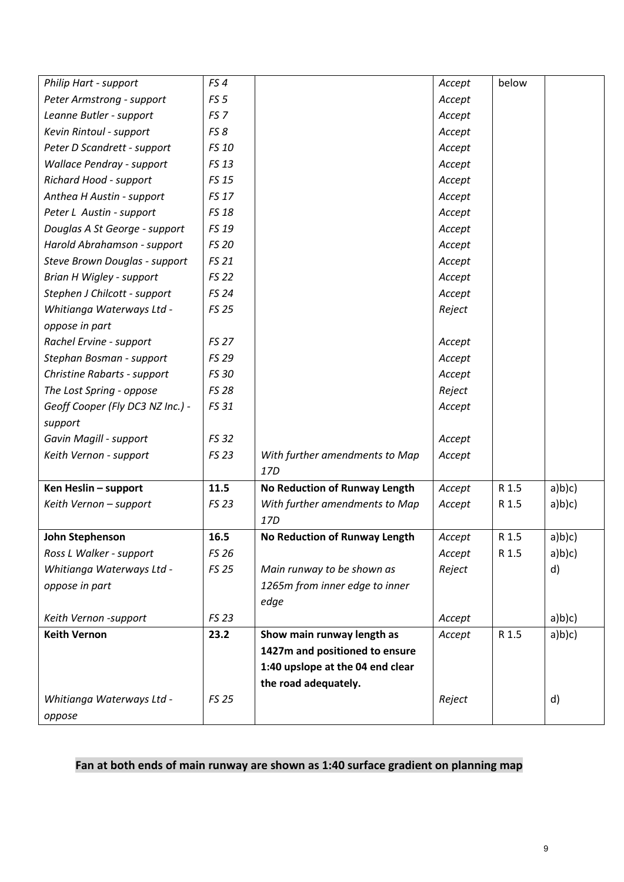| Philip Hart - support              | FS4             |                                  | Accept | below |        |
|------------------------------------|-----------------|----------------------------------|--------|-------|--------|
| Peter Armstrong - support          | FS <sub>5</sub> |                                  | Accept |       |        |
| Leanne Butler - support            | FS <sub>7</sub> |                                  | Accept |       |        |
| Kevin Rintoul - support            | FS 8            |                                  | Accept |       |        |
| Peter D Scandrett - support        | FS 10           |                                  | Accept |       |        |
| <b>Wallace Pendray - support</b>   | FS 13           |                                  | Accept |       |        |
| Richard Hood - support             | <b>FS 15</b>    |                                  | Accept |       |        |
| Anthea H Austin - support          | <b>FS 17</b>    |                                  | Accept |       |        |
| Peter L Austin - support           | <b>FS 18</b>    |                                  | Accept |       |        |
| Douglas A St George - support      | FS 19           |                                  | Accept |       |        |
| Harold Abrahamson - support        | <b>FS 20</b>    |                                  | Accept |       |        |
| Steve Brown Douglas - support      | <b>FS 21</b>    |                                  | Accept |       |        |
| Brian H Wigley - support           | <b>FS 22</b>    |                                  | Accept |       |        |
| Stephen J Chilcott - support       | <b>FS 24</b>    |                                  | Accept |       |        |
| Whitianga Waterways Ltd -          | <b>FS 25</b>    |                                  | Reject |       |        |
| oppose in part                     |                 |                                  |        |       |        |
| Rachel Ervine - support            | <b>FS 27</b>    |                                  | Accept |       |        |
| Stephan Bosman - support           | FS 29           |                                  | Accept |       |        |
| <b>Christine Rabarts - support</b> | <b>FS 30</b>    |                                  | Accept |       |        |
| The Lost Spring - oppose           | <b>FS 28</b>    |                                  | Reject |       |        |
| Geoff Cooper (Fly DC3 NZ Inc.) -   | FS 31           |                                  | Accept |       |        |
| support                            |                 |                                  |        |       |        |
| Gavin Magill - support             | <b>FS 32</b>    |                                  | Accept |       |        |
| Keith Vernon - support             | FS 23           | With further amendments to Map   | Accept |       |        |
|                                    |                 | 17D                              |        |       |        |
| Ken Heslin - support               | 11.5            | No Reduction of Runway Length    | Accept | R 1.5 | a)b)c) |
| Keith Vernon - support             | <b>FS 23</b>    | With further amendments to Map   | Accept | R 1.5 | a)b)c) |
|                                    |                 | 17D                              |        |       |        |
| John Stephenson                    | 16.5            | No Reduction of Runway Length    | Accept | R 1.5 | a)b)c) |
| Ross L Walker - support            | <b>FS 26</b>    |                                  | Accept | R 1.5 | a)b)c) |
| Whitianga Waterways Ltd -          | <b>FS 25</b>    | Main runway to be shown as       | Reject |       | d)     |
| oppose in part                     |                 | 1265m from inner edge to inner   |        |       |        |
|                                    |                 | edge                             |        |       |        |
| Keith Vernon -support              | FS 23           |                                  | Accept |       | a)b(c) |
| <b>Keith Vernon</b>                | 23.2            | Show main runway length as       | Accept | R 1.5 | a)b(c) |
|                                    |                 | 1427m and positioned to ensure   |        |       |        |
|                                    |                 | 1:40 upslope at the 04 end clear |        |       |        |
|                                    |                 | the road adequately.             |        |       |        |
| Whitianga Waterways Ltd -          | <b>FS 25</b>    |                                  | Reject |       | d)     |
| oppose                             |                 |                                  |        |       |        |

# **Fan at both ends of main runway are shown as 1:40 surface gradient on planning map**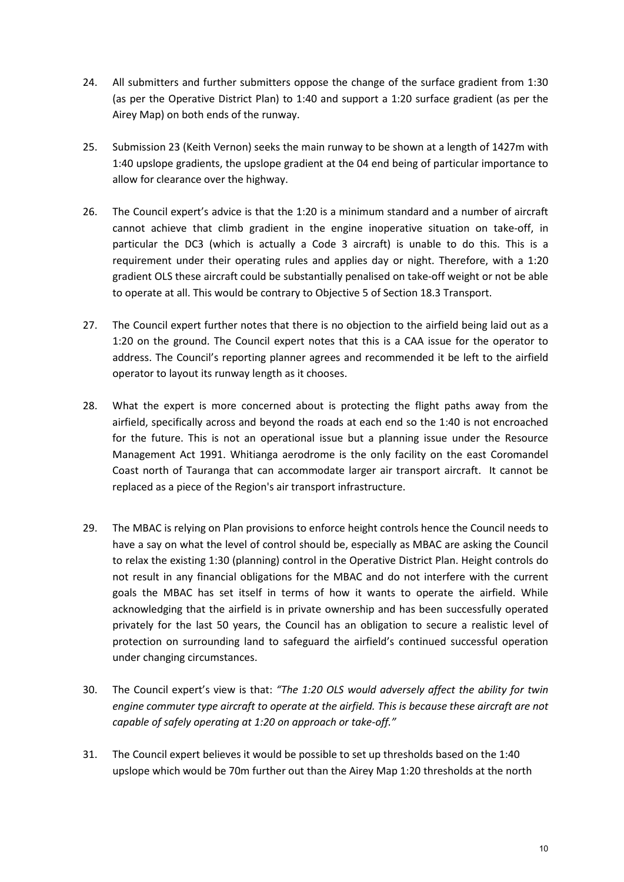- 24. All submitters and further submitters oppose the change of the surface gradient from 1:30 (as per the Operative District Plan) to 1:40 and support a 1:20 surface gradient (as per the Airey Map) on both ends of the runway.
- 25. Submission 23 (Keith Vernon) seeks the main runway to be shown at a length of 1427m with 1:40 upslope gradients, the upslope gradient at the 04 end being of particular importance to allow for clearance over the highway.
- 26. The Council expert's advice is that the 1:20 is a minimum standard and a number of aircraft cannot achieve that climb gradient in the engine inoperative situation on take-off, in particular the DC3 (which is actually a Code 3 aircraft) is unable to do this. This is a requirement under their operating rules and applies day or night. Therefore, with a 1:20 gradient OLS these aircraft could be substantially penalised on take-off weight or not be able to operate at all. This would be contrary to Objective 5 of Section 18.3 Transport.
- 27. The Council expert further notes that there is no objection to the airfield being laid out as a 1:20 on the ground. The Council expert notes that this is a CAA issue for the operator to address. The Council's reporting planner agrees and recommended it be left to the airfield operator to layout its runway length as it chooses.
- 28. What the expert is more concerned about is protecting the flight paths away from the airfield, specifically across and beyond the roads at each end so the 1:40 is not encroached for the future. This is not an operational issue but a planning issue under the Resource Management Act 1991. Whitianga aerodrome is the only facility on the east Coromandel Coast north of Tauranga that can accommodate larger air transport aircraft. It cannot be replaced as a piece of the Region's air transport infrastructure.
- 29. The MBAC is relying on Plan provisions to enforce height controls hence the Council needs to have a say on what the level of control should be, especially as MBAC are asking the Council to relax the existing 1:30 (planning) control in the Operative District Plan. Height controls do not result in any financial obligations for the MBAC and do not interfere with the current goals the MBAC has set itself in terms of how it wants to operate the airfield. While acknowledging that the airfield is in private ownership and has been successfully operated privately for the last 50 years, the Council has an obligation to secure a realistic level of protection on surrounding land to safeguard the airfield's continued successful operation under changing circumstances.
- 30. The Council expert's view is that: *"The 1:20 OLS would adversely affect the ability for twin engine commuter type aircraft to operate at the airfield. This is because these aircraft are not capable of safely operating at 1:20 on approach or take-off."*
- 31. The Council expert believes it would be possible to set up thresholds based on the 1:40 upslope which would be 70m further out than the Airey Map 1:20 thresholds at the north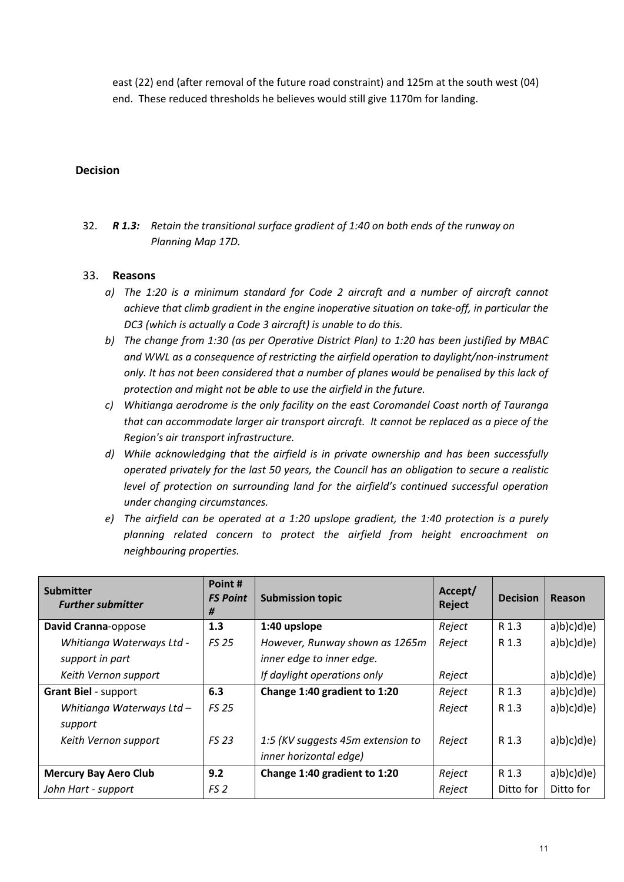east (22) end (after removal of the future road constraint) and 125m at the south west (04) end. These reduced thresholds he believes would still give 1170m for landing.

#### **Decision**

32. *R 1.3: Retain the transitional surface gradient of 1:40 on both ends of the runway on Planning Map 17D.*

- *a) The 1:20 is a minimum standard for Code 2 aircraft and a number of aircraft cannot achieve that climb gradient in the engine inoperative situation on take-off, in particular the DC3 (which is actually a Code 3 aircraft) is unable to do this.*
- *b) The change from 1:30 (as per Operative District Plan) to 1:20 has been justified by MBAC and WWL as a consequence of restricting the airfield operation to daylight/non-instrument only. It has not been considered that a number of planes would be penalised by this lack of protection and might not be able to use the airfield in the future.*
- *c) Whitianga aerodrome is the only facility on the east Coromandel Coast north of Tauranga that can accommodate larger air transport aircraft. It cannot be replaced as a piece of the Region's air transport infrastructure.*
- *d) While acknowledging that the airfield is in private ownership and has been successfully operated privately for the last 50 years, the Council has an obligation to secure a realistic level of protection on surrounding land for the airfield's continued successful operation under changing circumstances.*
- *e) The airfield can be operated at a 1:20 upslope gradient, the 1:40 protection is a purely planning related concern to protect the airfield from height encroachment on neighbouring properties.*

| <b>Submitter</b><br><b>Further submitter</b> | Point#<br><b>FS Point</b><br># | <b>Submission topic</b>           | Accept/<br>Reject | <b>Decision</b> | Reason     |
|----------------------------------------------|--------------------------------|-----------------------------------|-------------------|-----------------|------------|
| David Cranna-oppose                          | 1.3                            | 1:40 upslope                      | Reject            | R 1.3           | a)b(c)d(e) |
| Whitianga Waterways Ltd -                    | <b>FS 25</b>                   | However, Runway shown as 1265m    | Reject            | R 1.3           | a)b(c)d(e) |
| support in part                              |                                | inner edge to inner edge.         |                   |                 |            |
| Keith Vernon support                         |                                | If daylight operations only       | Reject            |                 | a)b(c)d(e) |
| <b>Grant Biel - support</b>                  | 6.3                            | Change 1:40 gradient to 1:20      | Reject            | R 1.3           | a)b(c)d(e) |
| Whitianga Waterways Ltd -                    | <b>FS 25</b>                   |                                   | Reject            | R 1.3           | a)b)c(d)e  |
| support                                      |                                |                                   |                   |                 |            |
| Keith Vernon support                         | <b>FS 23</b>                   | 1:5 (KV suggests 45m extension to | Reject            | R 1.3           | a)b(c)d(e) |
|                                              |                                | inner horizontal edge)            |                   |                 |            |
| <b>Mercury Bay Aero Club</b>                 | 9.2                            | Change 1:40 gradient to 1:20      | Reject            | R 1.3           | a)b(c)d(e) |
| John Hart - support                          | FS 2                           |                                   | Reject            | Ditto for       | Ditto for  |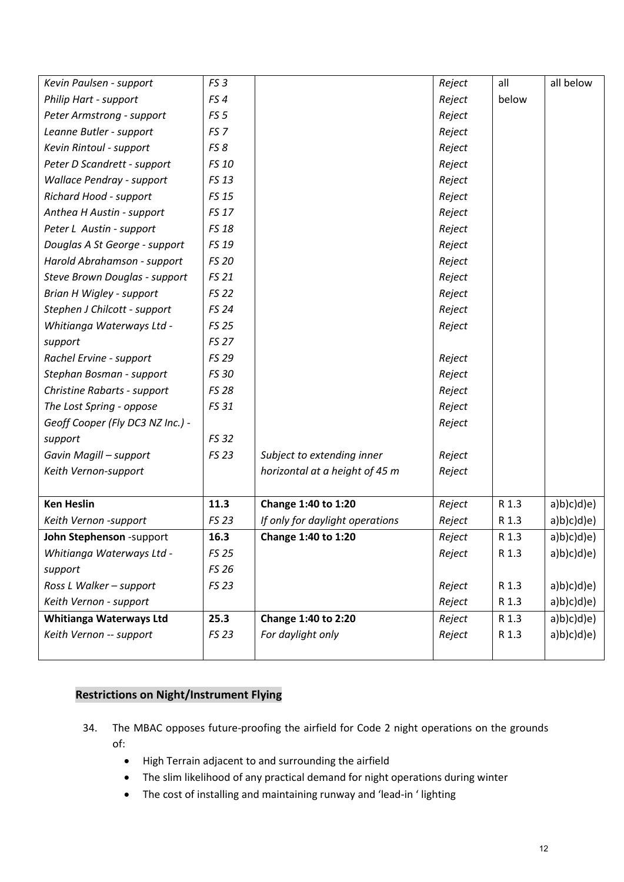| Kevin Paulsen - support            | FS <sub>3</sub> |                                 | Reject | all   | all below  |
|------------------------------------|-----------------|---------------------------------|--------|-------|------------|
| Philip Hart - support              | FS4             |                                 | Reject | below |            |
| Peter Armstrong - support          | FS <sub>5</sub> |                                 | Reject |       |            |
| Leanne Butler - support            | FS <sub>7</sub> |                                 | Reject |       |            |
| Kevin Rintoul - support            | FS8             |                                 | Reject |       |            |
| Peter D Scandrett - support        | FS 10           |                                 | Reject |       |            |
| <b>Wallace Pendray - support</b>   | FS 13           |                                 | Reject |       |            |
| Richard Hood - support             | <b>FS 15</b>    |                                 | Reject |       |            |
| Anthea H Austin - support          | <b>FS 17</b>    |                                 | Reject |       |            |
| Peter L Austin - support           | <b>FS 18</b>    |                                 | Reject |       |            |
| Douglas A St George - support      | FS 19           |                                 | Reject |       |            |
| Harold Abrahamson - support        | <b>FS 20</b>    |                                 | Reject |       |            |
| Steve Brown Douglas - support      | FS 21           |                                 | Reject |       |            |
| Brian H Wigley - support           | <b>FS 22</b>    |                                 | Reject |       |            |
| Stephen J Chilcott - support       | <b>FS 24</b>    |                                 | Reject |       |            |
| Whitianga Waterways Ltd -          | <b>FS 25</b>    |                                 | Reject |       |            |
| support                            | <b>FS 27</b>    |                                 |        |       |            |
| Rachel Ervine - support            | FS 29           |                                 | Reject |       |            |
| Stephan Bosman - support           | FS 30           |                                 | Reject |       |            |
| <b>Christine Rabarts - support</b> | <b>FS 28</b>    |                                 | Reject |       |            |
| The Lost Spring - oppose           | FS 31           |                                 | Reject |       |            |
| Geoff Cooper (Fly DC3 NZ Inc.) -   |                 |                                 | Reject |       |            |
| support                            | <b>FS 32</b>    |                                 |        |       |            |
| Gavin Magill - support             | <b>FS 23</b>    | Subject to extending inner      | Reject |       |            |
| Keith Vernon-support               |                 | horizontal at a height of 45 m  | Reject |       |            |
|                                    |                 |                                 |        |       |            |
| <b>Ken Heslin</b>                  | 11.3            | Change 1:40 to 1:20             | Reject | R 1.3 | a)b(c)d(e) |
| Keith Vernon -support              | <b>FS 23</b>    | If only for daylight operations | Reject | R 1.3 | a)b(c)d(e) |
| John Stephenson -support           | 16.3            | Change 1:40 to 1:20             | Reject | R 1.3 | a)b(c)d(e) |
| Whitianga Waterways Ltd -          | <b>FS 25</b>    |                                 | Reject | R 1.3 | a)b(c)d(e) |
| support                            | FS 26           |                                 |        |       |            |
| Ross L Walker - support            | <b>FS 23</b>    |                                 | Reject | R 1.3 | a)b(c)d(e) |
| Keith Vernon - support             |                 |                                 | Reject | R 1.3 | a)b)c(d)e  |
| <b>Whitianga Waterways Ltd</b>     | 25.3            | Change 1:40 to 2:20             | Reject | R 1.3 | a)b(c)d(e) |
| Keith Vernon -- support            | FS 23           | For daylight only               | Reject | R 1.3 | a)b(c)d(e) |
|                                    |                 |                                 |        |       |            |

# **Restrictions on Night/Instrument Flying**

- 34. The MBAC opposes future-proofing the airfield for Code 2 night operations on the grounds of:
	- High Terrain adjacent to and surrounding the airfield
	- The slim likelihood of any practical demand for night operations during winter
	- The cost of installing and maintaining runway and 'lead-in ' lighting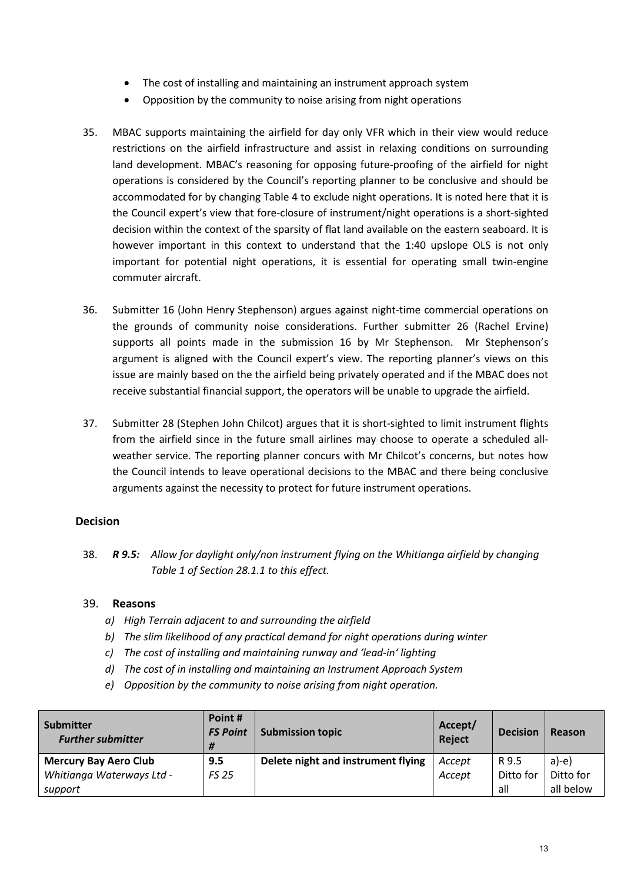- The cost of installing and maintaining an instrument approach system
- Opposition by the community to noise arising from night operations
- 35. MBAC supports maintaining the airfield for day only VFR which in their view would reduce restrictions on the airfield infrastructure and assist in relaxing conditions on surrounding land development. MBAC's reasoning for opposing future-proofing of the airfield for night operations is considered by the Council's reporting planner to be conclusive and should be accommodated for by changing Table 4 to exclude night operations. It is noted here that it is the Council expert's view that fore-closure of instrument/night operations is a short-sighted decision within the context of the sparsity of flat land available on the eastern seaboard. It is however important in this context to understand that the 1:40 upslope OLS is not only important for potential night operations, it is essential for operating small twin-engine commuter aircraft.
- 36. Submitter 16 (John Henry Stephenson) argues against night-time commercial operations on the grounds of community noise considerations. Further submitter 26 (Rachel Ervine) supports all points made in the submission 16 by Mr Stephenson. Mr Stephenson's argument is aligned with the Council expert's view. The reporting planner's views on this issue are mainly based on the the airfield being privately operated and if the MBAC does not receive substantial financial support, the operators will be unable to upgrade the airfield.
- 37. Submitter 28 (Stephen John Chilcot) argues that it is short-sighted to limit instrument flights from the airfield since in the future small airlines may choose to operate a scheduled allweather service. The reporting planner concurs with Mr Chilcot's concerns, but notes how the Council intends to leave operational decisions to the MBAC and there being conclusive arguments against the necessity to protect for future instrument operations.

## **Decision**

38. *R 9.5: Allow for daylight only/non instrument flying on the Whitianga airfield by changing Table 1 of Section 28.1.1 to this effect.*

- *a) High Terrain adjacent to and surrounding the airfield*
- *b) The slim likelihood of any practical demand for night operations during winter*
- *c) The cost of installing and maintaining runway and 'lead-in' lighting*
- *d) The cost of in installing and maintaining an Instrument Approach System*
- *e) Opposition by the community to noise arising from night operation.*

| Submitter<br><b>Further submitter</b> | Point #<br><b>FS Point</b><br># | <b>Submission topic</b>            | Accept/<br>Reject | <b>Decision</b> | Reason    |
|---------------------------------------|---------------------------------|------------------------------------|-------------------|-----------------|-----------|
| <b>Mercury Bay Aero Club</b>          | 9.5                             | Delete night and instrument flying | Accept            | R 9.5           | $a$ )-e)  |
| Whitianga Waterways Ltd -             | <b>FS 25</b>                    |                                    | Accept            | Ditto for       | Ditto for |
| support                               |                                 |                                    |                   | all             | all below |